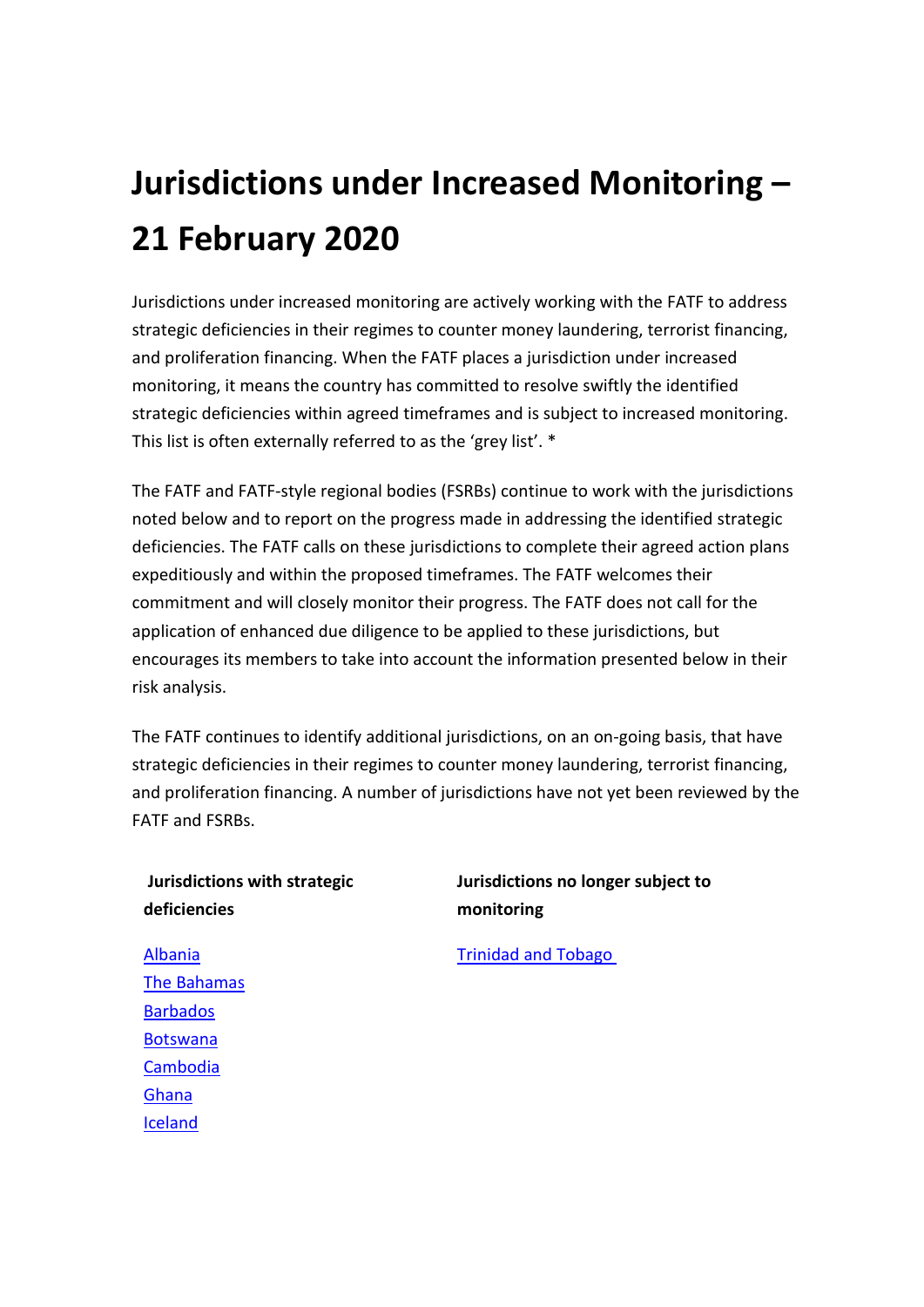# **Jurisdictions under Increased Monitoring – 21 February 2020**

Jurisdictions under increased monitoring are actively working with the FATF to address strategic deficiencies in their regimes to counter money laundering, terrorist financing, and proliferation financing. When the FATF places a jurisdiction under increased monitoring, it means the country has committed to resolve swiftly the identified strategic deficiencies within agreed timeframes and is subject to increased monitoring. This list is often externally referred to as the 'grey list'. \*

The FATF and FATF-style regional bodies (FSRBs) continue to work with the jurisdictions noted below and to report on the progress made in addressing the identified strategic deficiencies. The FATF calls on these jurisdictions to complete their agreed action plans expeditiously and within the proposed timeframes. The FATF welcomes their commitment and will closely monitor their progress. The FATF does not call for the application of enhanced due diligence to be applied to these jurisdictions, but encourages its members to take into account the information presented below in their risk analysis.

The FATF continues to identify additional jurisdictions, on an on-going basis, that have strategic deficiencies in their regimes to counter money laundering, terrorist financing, and proliferation financing. A number of jurisdictions have not yet been reviewed by the FATF and FSRBs.

# **Jurisdictions with strategic deficiencies**

# **Jurisdictions no longer subject to monitoring**

[Trinidad and Tobago](http://www.fatf-gafi.org/publications/high-risk-and-other-monitored-jurisdictions/documents/increased-monitoring-february-2020.html#trinidadandtobago)

[Albania](http://www.fatf-gafi.org/publications/high-risk-and-other-monitored-jurisdictions/documents/increased-monitoring-february-2020.html#albania) [The Bahamas](http://www.fatf-gafi.org/publications/high-risk-and-other-monitored-jurisdictions/documents/increased-monitoring-february-2020.html#bahamas) **[Barbados](http://www.fatf-gafi.org/publications/high-risk-and-other-monitored-jurisdictions/documents/increased-monitoring-february-2020.html#barbados)** [Botswana](http://www.fatf-gafi.org/publications/high-risk-and-other-monitored-jurisdictions/documents/increased-monitoring-february-2020.html#botswana) [Cambodia](http://www.fatf-gafi.org/publications/high-risk-and-other-monitored-jurisdictions/documents/increased-monitoring-february-2020.html#cambodia) [Ghana](http://www.fatf-gafi.org/publications/high-risk-and-other-monitored-jurisdictions/documents/increased-monitoring-february-2020.html#ghana) [Iceland](http://www.fatf-gafi.org/publications/high-risk-and-other-monitored-jurisdictions/documents/increased-monitoring-february-2020.html#iceland)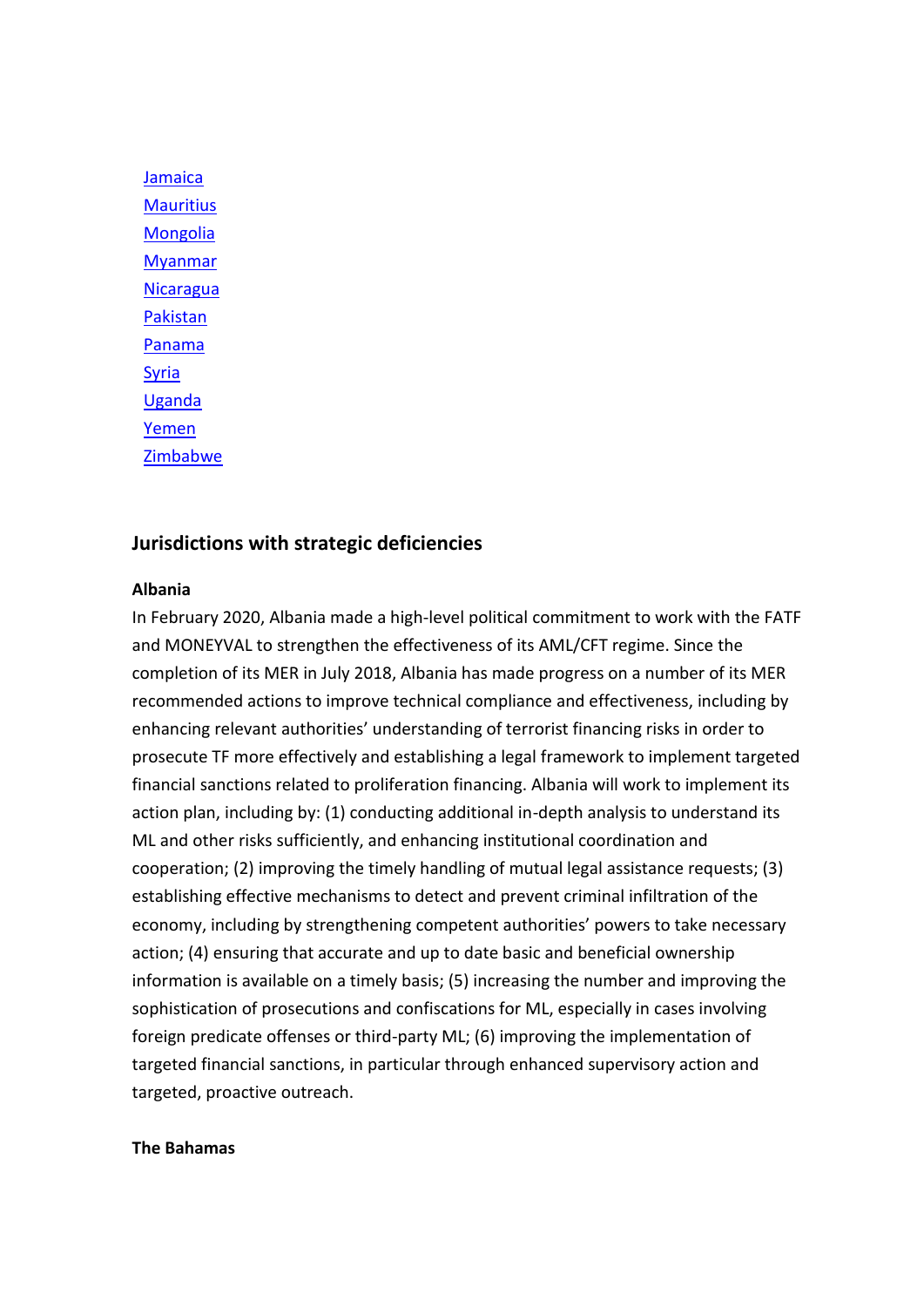**[Jamaica](http://www.fatf-gafi.org/publications/high-risk-and-other-monitored-jurisdictions/documents/increased-monitoring-february-2020.html#jamaica) [Mauritius](http://www.fatf-gafi.org/publications/high-risk-and-other-monitored-jurisdictions/documents/increased-monitoring-february-2020.html#mauritius)** [Mongolia](http://www.fatf-gafi.org/publications/high-risk-and-other-monitored-jurisdictions/documents/increased-monitoring-february-2020.html#mongolia) [Myanmar](http://www.fatf-gafi.org/publications/high-risk-and-other-monitored-jurisdictions/documents/increased-monitoring-february-2020.html#myanmar) **[Nicaragua](http://www.fatf-gafi.org/publications/high-risk-and-other-monitored-jurisdictions/documents/increased-monitoring-february-2020.html#nicaragua)** [Pakistan](http://www.fatf-gafi.org/publications/high-risk-and-other-monitored-jurisdictions/documents/increased-monitoring-february-2020.html#pakistan) [Panama](http://www.fatf-gafi.org/publications/high-risk-and-other-monitored-jurisdictions/documents/increased-monitoring-february-2020.html#panama) [Syria](http://www.fatf-gafi.org/publications/high-risk-and-other-monitored-jurisdictions/documents/increased-monitoring-february-2020.html#syria) [Uganda](http://www.fatf-gafi.org/publications/high-risk-and-other-monitored-jurisdictions/documents/increased-monitoring-february-2020.html#uganda) [Yemen](http://www.fatf-gafi.org/publications/high-risk-and-other-monitored-jurisdictions/documents/increased-monitoring-february-2020.html#yemen) [Zimbabwe](http://www.fatf-gafi.org/publications/high-risk-and-other-monitored-jurisdictions/documents/increased-monitoring-february-2020.html#zimbabwe)

## **Jurisdictions with strategic deficiencies**

#### **Albania**

In February 2020, Albania made a high-level political commitment to work with the FATF and MONEYVAL to strengthen the effectiveness of its AML/CFT regime. Since the completion of its MER in July 2018, Albania has made progress on a number of its MER recommended actions to improve technical compliance and effectiveness, including by enhancing relevant authorities' understanding of terrorist financing risks in order to prosecute TF more effectively and establishing a legal framework to implement targeted financial sanctions related to proliferation financing. Albania will work to implement its action plan, including by: (1) conducting additional in-depth analysis to understand its ML and other risks sufficiently, and enhancing institutional coordination and cooperation; (2) improving the timely handling of mutual legal assistance requests; (3) establishing effective mechanisms to detect and prevent criminal infiltration of the economy, including by strengthening competent authorities' powers to take necessary action; (4) ensuring that accurate and up to date basic and beneficial ownership information is available on a timely basis; (5) increasing the number and improving the sophistication of prosecutions and confiscations for ML, especially in cases involving foreign predicate offenses or third-party ML; (6) improving the implementation of targeted financial sanctions, in particular through enhanced supervisory action and targeted, proactive outreach.

#### **The Bahamas**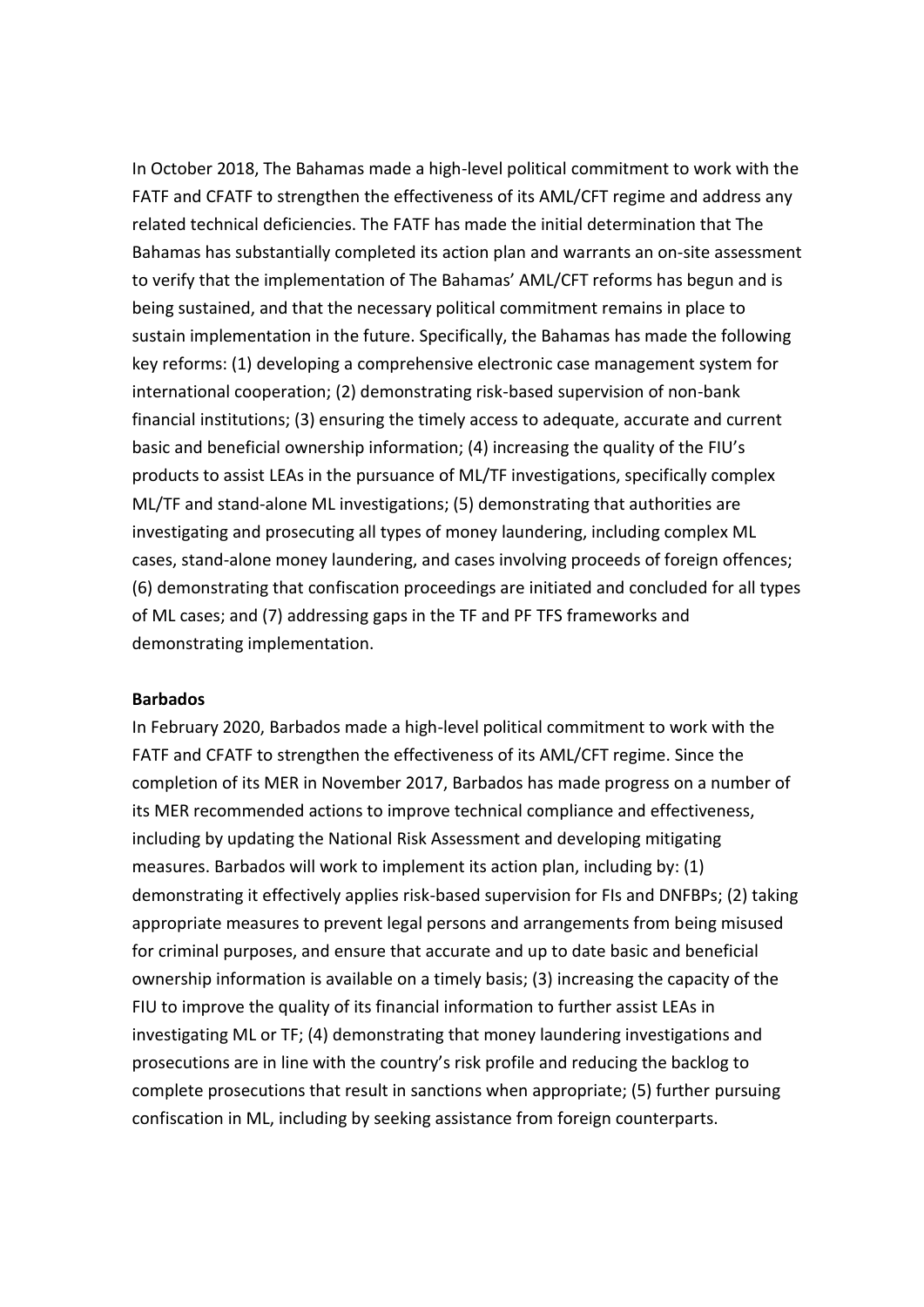In October 2018, The Bahamas made a high-level political commitment to work with the FATF and CFATF to strengthen the effectiveness of its AML/CFT regime and address any related technical deficiencies. The FATF has made the initial determination that The Bahamas has substantially completed its action plan and warrants an on-site assessment to verify that the implementation of The Bahamas' AML/CFT reforms has begun and is being sustained, and that the necessary political commitment remains in place to sustain implementation in the future. Specifically, the Bahamas has made the following key reforms: (1) developing a comprehensive electronic case management system for international cooperation; (2) demonstrating risk-based supervision of non-bank financial institutions; (3) ensuring the timely access to adequate, accurate and current basic and beneficial ownership information; (4) increasing the quality of the FIU's products to assist LEAs in the pursuance of ML/TF investigations, specifically complex ML/TF and stand-alone ML investigations; (5) demonstrating that authorities are investigating and prosecuting all types of money laundering, including complex ML cases, stand-alone money laundering, and cases involving proceeds of foreign offences; (6) demonstrating that confiscation proceedings are initiated and concluded for all types of ML cases; and (7) addressing gaps in the TF and PF TFS frameworks and demonstrating implementation.

#### **Barbados**

In February 2020, Barbados made a high-level political commitment to work with the FATF and CFATF to strengthen the effectiveness of its AML/CFT regime. Since the completion of its MER in November 2017, Barbados has made progress on a number of its MER recommended actions to improve technical compliance and effectiveness, including by updating the National Risk Assessment and developing mitigating measures. Barbados will work to implement its action plan, including by: (1) demonstrating it effectively applies risk-based supervision for FIs and DNFBPs; (2) taking appropriate measures to prevent legal persons and arrangements from being misused for criminal purposes, and ensure that accurate and up to date basic and beneficial ownership information is available on a timely basis; (3) increasing the capacity of the FIU to improve the quality of its financial information to further assist LEAs in investigating ML or TF; (4) demonstrating that money laundering investigations and prosecutions are in line with the country's risk profile and reducing the backlog to complete prosecutions that result in sanctions when appropriate; (5) further pursuing confiscation in ML, including by seeking assistance from foreign counterparts.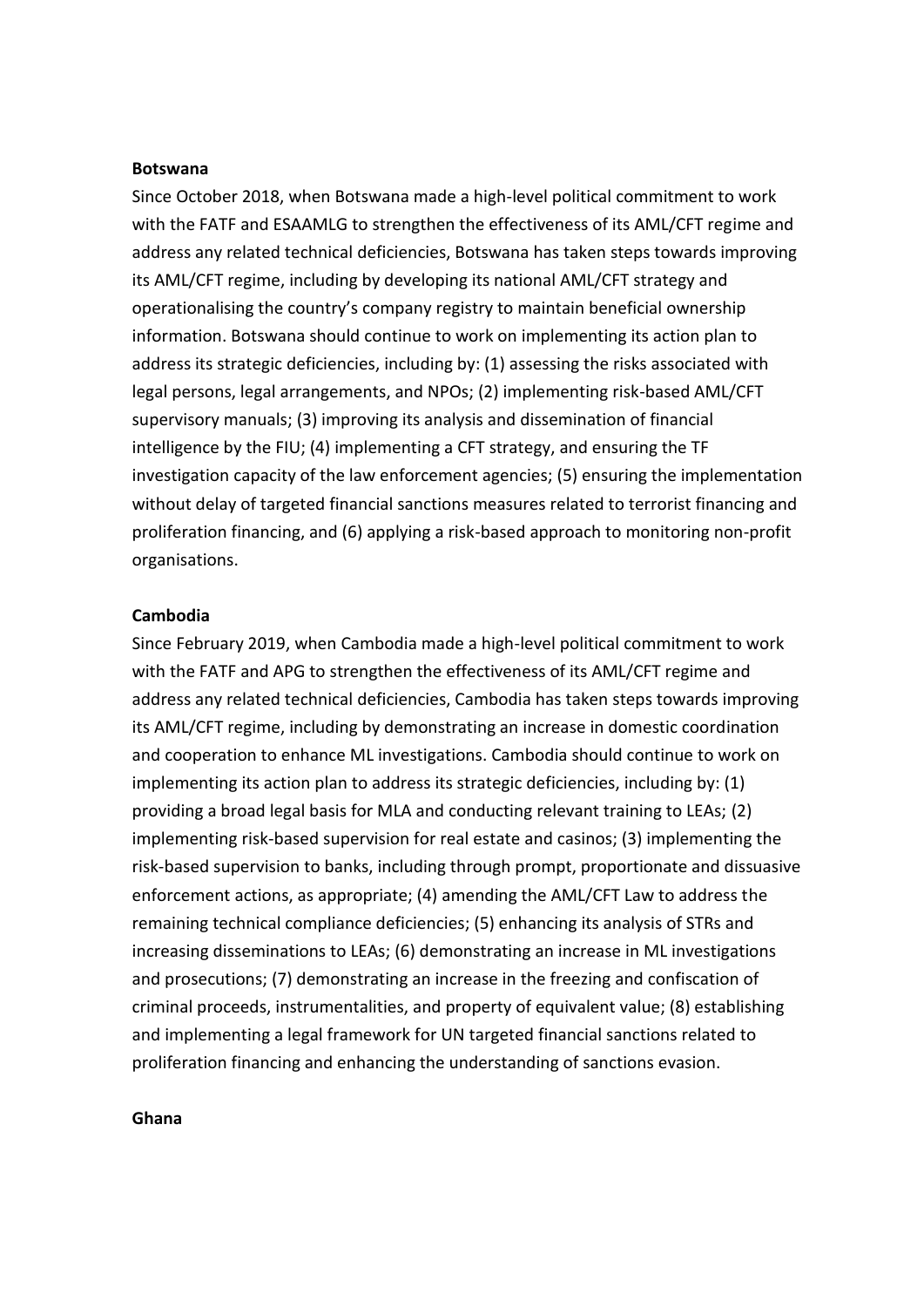#### **Botswana**

Since October 2018, when Botswana made a high-level political commitment to work with the FATF and ESAAMLG to strengthen the effectiveness of its AML/CFT regime and address any related technical deficiencies, Botswana has taken steps towards improving its AML/CFT regime, including by developing its national AML/CFT strategy and operationalising the country's company registry to maintain beneficial ownership information. Botswana should continue to work on implementing its action plan to address its strategic deficiencies, including by: (1) assessing the risks associated with legal persons, legal arrangements, and NPOs; (2) implementing risk-based AML/CFT supervisory manuals; (3) improving its analysis and dissemination of financial intelligence by the FIU; (4) implementing a CFT strategy, and ensuring the TF investigation capacity of the law enforcement agencies; (5) ensuring the implementation without delay of targeted financial sanctions measures related to terrorist financing and proliferation financing, and (6) applying a risk-based approach to monitoring non-profit organisations.

#### **Cambodia**

Since February 2019, when Cambodia made a high-level political commitment to work with the FATF and APG to strengthen the effectiveness of its AML/CFT regime and address any related technical deficiencies, Cambodia has taken steps towards improving its AML/CFT regime, including by demonstrating an increase in domestic coordination and cooperation to enhance ML investigations. Cambodia should continue to work on implementing its action plan to address its strategic deficiencies, including by: (1) providing a broad legal basis for MLA and conducting relevant training to LEAs; (2) implementing risk-based supervision for real estate and casinos; (3) implementing the risk-based supervision to banks, including through prompt, proportionate and dissuasive enforcement actions, as appropriate; (4) amending the AML/CFT Law to address the remaining technical compliance deficiencies; (5) enhancing its analysis of STRs and increasing disseminations to LEAs; (6) demonstrating an increase in ML investigations and prosecutions; (7) demonstrating an increase in the freezing and confiscation of criminal proceeds, instrumentalities, and property of equivalent value; (8) establishing and implementing a legal framework for UN targeted financial sanctions related to proliferation financing and enhancing the understanding of sanctions evasion.

#### **Ghana**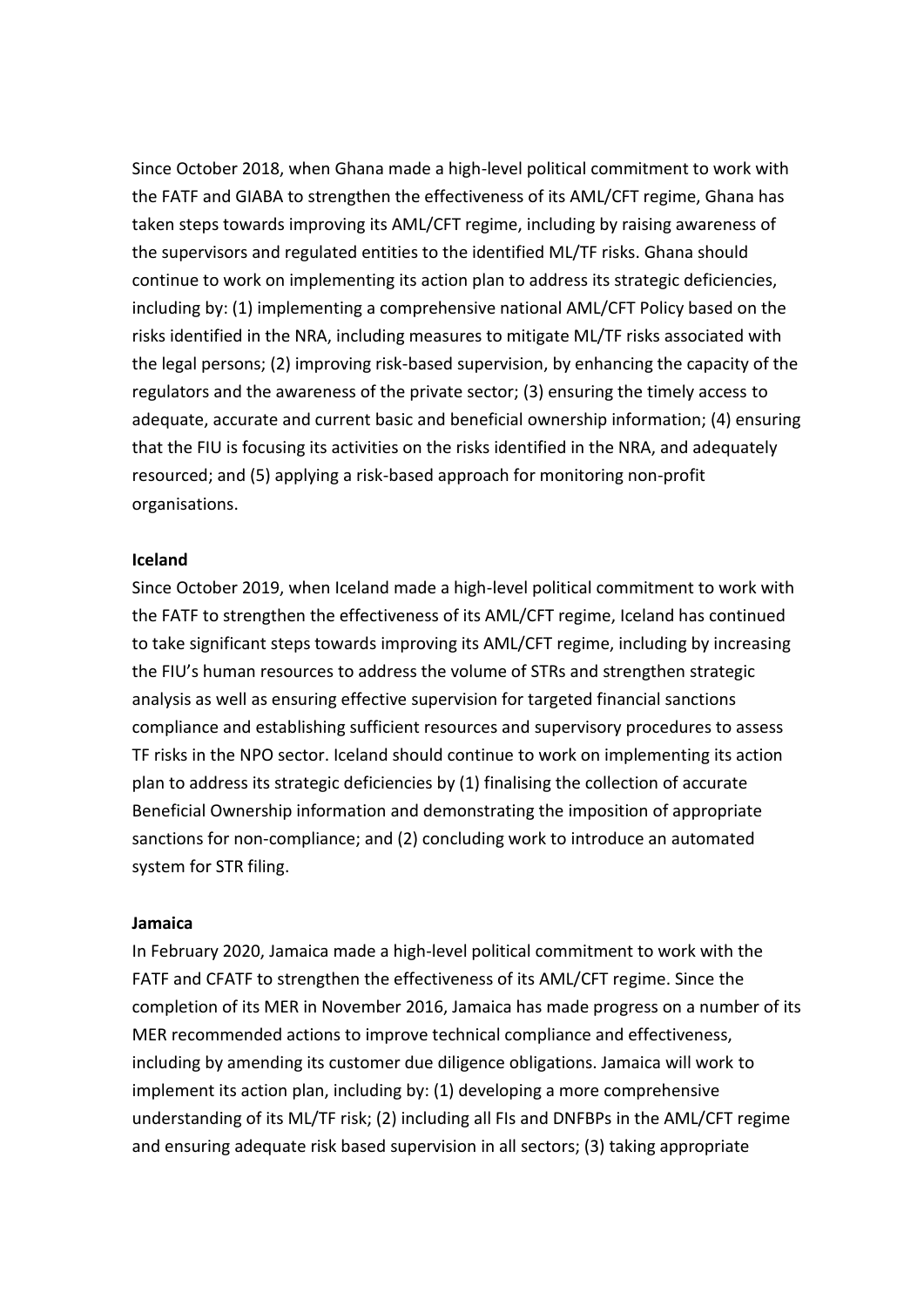Since October 2018, when Ghana made a high-level political commitment to work with the FATF and GIABA to strengthen the effectiveness of its AML/CFT regime, Ghana has taken steps towards improving its AML/CFT regime, including by raising awareness of the supervisors and regulated entities to the identified ML/TF risks. Ghana should continue to work on implementing its action plan to address its strategic deficiencies, including by: (1) implementing a comprehensive national AML/CFT Policy based on the risks identified in the NRA, including measures to mitigate ML/TF risks associated with the legal persons; (2) improving risk-based supervision, by enhancing the capacity of the regulators and the awareness of the private sector; (3) ensuring the timely access to adequate, accurate and current basic and beneficial ownership information; (4) ensuring that the FIU is focusing its activities on the risks identified in the NRA, and adequately resourced; and (5) applying a risk-based approach for monitoring non-profit organisations.

#### **Iceland**

Since October 2019, when Iceland made a high-level political commitment to work with the FATF to strengthen the effectiveness of its AML/CFT regime, Iceland has continued to take significant steps towards improving its AML/CFT regime, including by increasing the FIU's human resources to address the volume of STRs and strengthen strategic analysis as well as ensuring effective supervision for targeted financial sanctions compliance and establishing sufficient resources and supervisory procedures to assess TF risks in the NPO sector. Iceland should continue to work on implementing its action plan to address its strategic deficiencies by (1) finalising the collection of accurate Beneficial Ownership information and demonstrating the imposition of appropriate sanctions for non-compliance; and (2) concluding work to introduce an automated system for STR filing.

#### **Jamaica**

In February 2020, Jamaica made a high-level political commitment to work with the FATF and CFATF to strengthen the effectiveness of its AML/CFT regime. Since the completion of its MER in November 2016, Jamaica has made progress on a number of its MER recommended actions to improve technical compliance and effectiveness, including by amending its customer due diligence obligations. Jamaica will work to implement its action plan, including by: (1) developing a more comprehensive understanding of its ML/TF risk; (2) including all FIs and DNFBPs in the AML/CFT regime and ensuring adequate risk based supervision in all sectors; (3) taking appropriate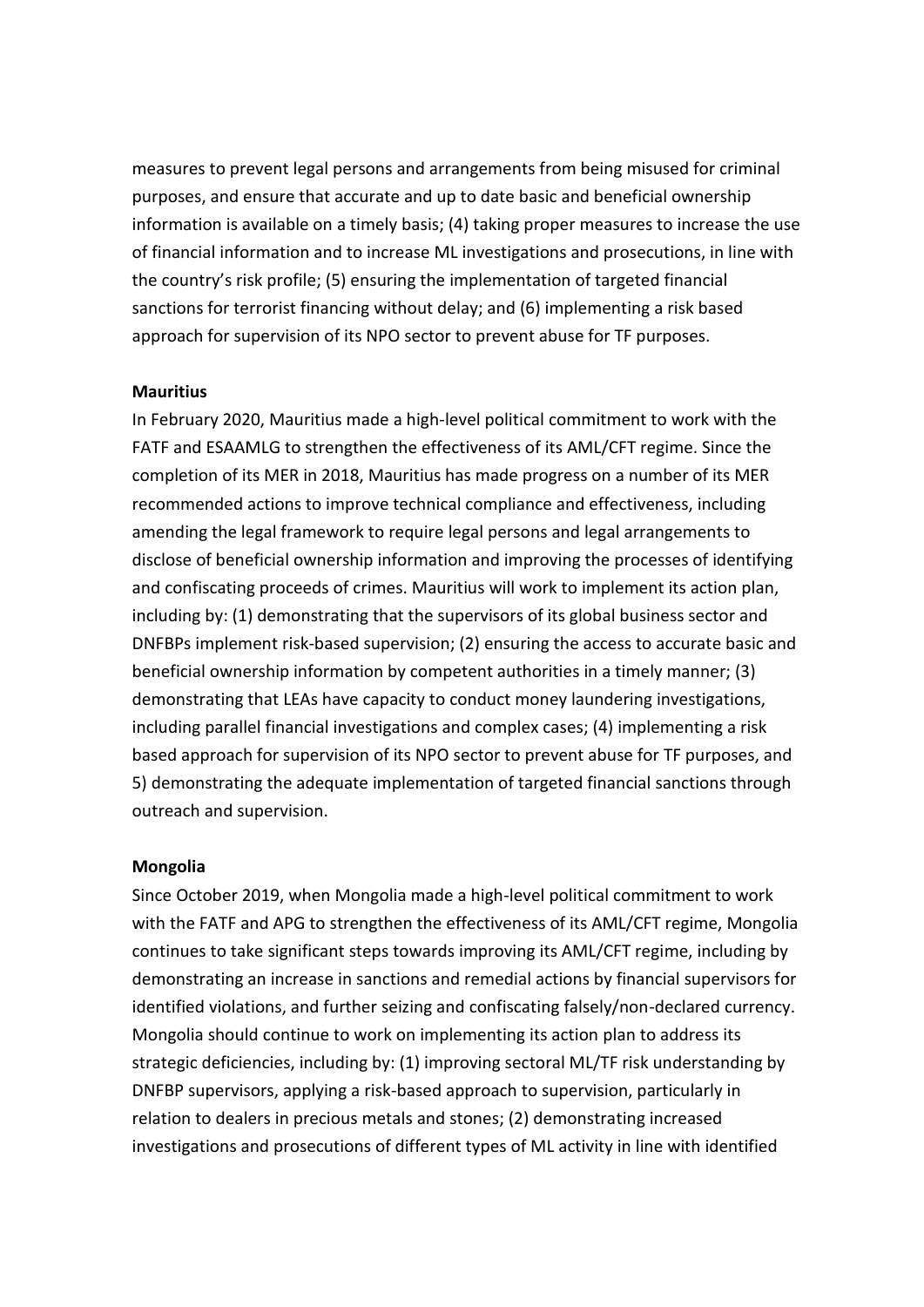measures to prevent legal persons and arrangements from being misused for criminal purposes, and ensure that accurate and up to date basic and beneficial ownership information is available on a timely basis; (4) taking proper measures to increase the use of financial information and to increase ML investigations and prosecutions, in line with the country's risk profile; (5) ensuring the implementation of targeted financial sanctions for terrorist financing without delay; and (6) implementing a risk based approach for supervision of its NPO sector to prevent abuse for TF purposes.

#### **Mauritius**

In February 2020, Mauritius made a high-level political commitment to work with the FATF and ESAAMLG to strengthen the effectiveness of its AML/CFT regime. Since the completion of its MER in 2018, Mauritius has made progress on a number of its MER recommended actions to improve technical compliance and effectiveness, including amending the legal framework to require legal persons and legal arrangements to disclose of beneficial ownership information and improving the processes of identifying and confiscating proceeds of crimes. Mauritius will work to implement its action plan, including by: (1) demonstrating that the supervisors of its global business sector and DNFBPs implement risk-based supervision; (2) ensuring the access to accurate basic and beneficial ownership information by competent authorities in a timely manner; (3) demonstrating that LEAs have capacity to conduct money laundering investigations, including parallel financial investigations and complex cases; (4) implementing a risk based approach for supervision of its NPO sector to prevent abuse for TF purposes, and 5) demonstrating the adequate implementation of targeted financial sanctions through outreach and supervision.

#### **Mongolia**

Since October 2019, when Mongolia made a high-level political commitment to work with the FATF and APG to strengthen the effectiveness of its AML/CFT regime, Mongolia continues to take significant steps towards improving its AML/CFT regime, including by demonstrating an increase in sanctions and remedial actions by financial supervisors for identified violations, and further seizing and confiscating falsely/non-declared currency. Mongolia should continue to work on implementing its action plan to address its strategic deficiencies, including by: (1) improving sectoral ML/TF risk understanding by DNFBP supervisors, applying a risk-based approach to supervision, particularly in relation to dealers in precious metals and stones; (2) demonstrating increased investigations and prosecutions of different types of ML activity in line with identified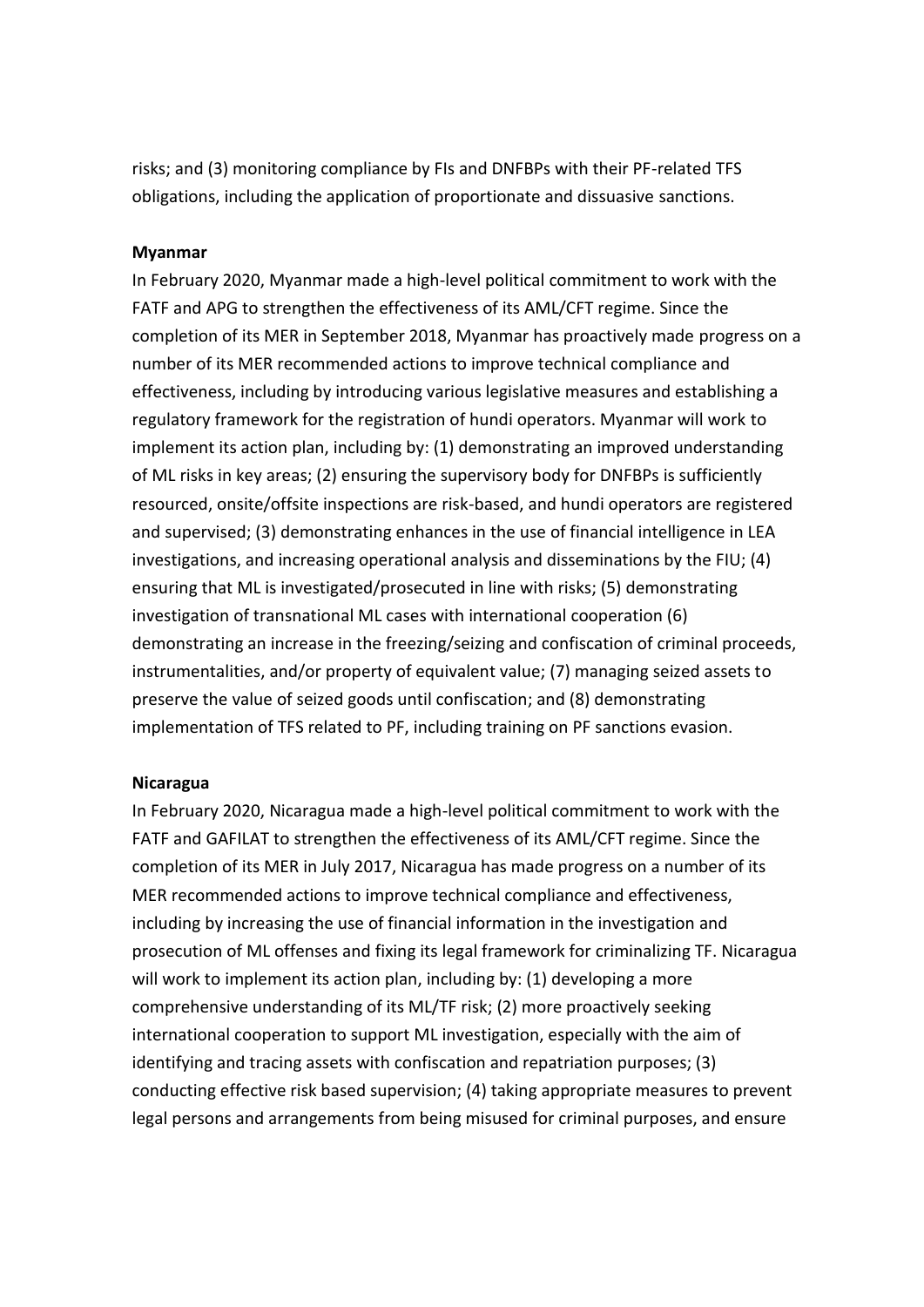risks; and (3) monitoring compliance by FIs and DNFBPs with their PF-related TFS obligations, including the application of proportionate and dissuasive sanctions.

#### **Myanmar**

In February 2020, Myanmar made a high-level political commitment to work with the FATF and APG to strengthen the effectiveness of its AML/CFT regime. Since the completion of its MER in September 2018, Myanmar has proactively made progress on a number of its MER recommended actions to improve technical compliance and effectiveness, including by introducing various legislative measures and establishing a regulatory framework for the registration of hundi operators. Myanmar will work to implement its action plan, including by: (1) demonstrating an improved understanding of ML risks in key areas; (2) ensuring the supervisory body for DNFBPs is sufficiently resourced, onsite/offsite inspections are risk-based, and hundi operators are registered and supervised; (3) demonstrating enhances in the use of financial intelligence in LEA investigations, and increasing operational analysis and disseminations by the FIU; (4) ensuring that ML is investigated/prosecuted in line with risks; (5) demonstrating investigation of transnational ML cases with international cooperation (6) demonstrating an increase in the freezing/seizing and confiscation of criminal proceeds, instrumentalities, and/or property of equivalent value; (7) managing seized assets to preserve the value of seized goods until confiscation; and (8) demonstrating implementation of TFS related to PF, including training on PF sanctions evasion.

#### **Nicaragua**

In February 2020, Nicaragua made a high-level political commitment to work with the FATF and GAFILAT to strengthen the effectiveness of its AML/CFT regime. Since the completion of its MER in July 2017, Nicaragua has made progress on a number of its MER recommended actions to improve technical compliance and effectiveness, including by increasing the use of financial information in the investigation and prosecution of ML offenses and fixing its legal framework for criminalizing TF. Nicaragua will work to implement its action plan, including by: (1) developing a more comprehensive understanding of its ML/TF risk; (2) more proactively seeking international cooperation to support ML investigation, especially with the aim of identifying and tracing assets with confiscation and repatriation purposes; (3) conducting effective risk based supervision; (4) taking appropriate measures to prevent legal persons and arrangements from being misused for criminal purposes, and ensure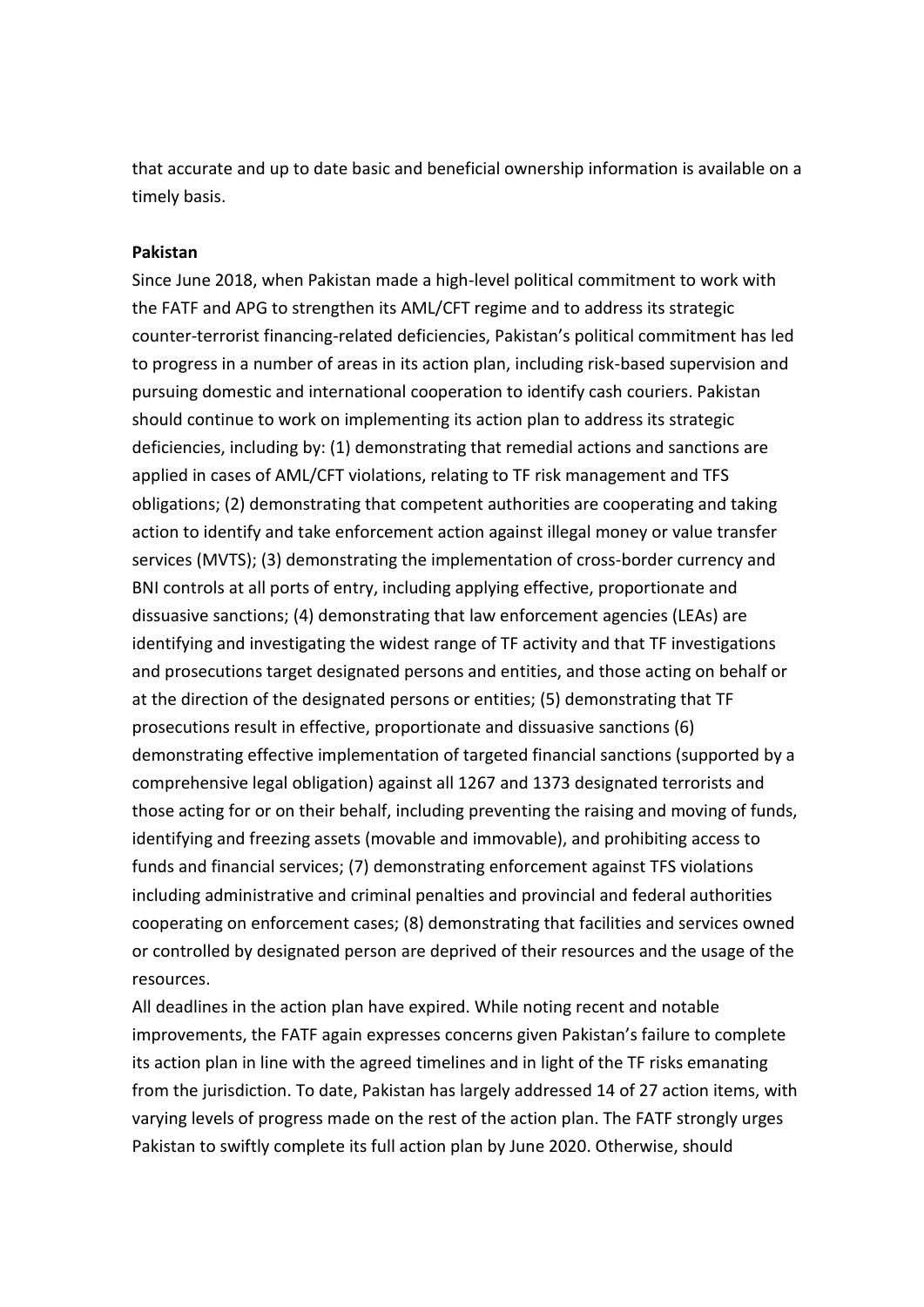that accurate and up to date basic and beneficial ownership information is available on a timely basis.

#### **Pakistan**

Since June 2018, when Pakistan made a high-level political commitment to work with the FATF and APG to strengthen its AML/CFT regime and to address its strategic counter-terrorist financing-related deficiencies, Pakistan's political commitment has led to progress in a number of areas in its action plan, including risk-based supervision and pursuing domestic and international cooperation to identify cash couriers. Pakistan should continue to work on implementing its action plan to address its strategic deficiencies, including by: (1) demonstrating that remedial actions and sanctions are applied in cases of AML/CFT violations, relating to TF risk management and TFS obligations; (2) demonstrating that competent authorities are cooperating and taking action to identify and take enforcement action against illegal money or value transfer services (MVTS); (3) demonstrating the implementation of cross-border currency and BNI controls at all ports of entry, including applying effective, proportionate and dissuasive sanctions; (4) demonstrating that law enforcement agencies (LEAs) are identifying and investigating the widest range of TF activity and that TF investigations and prosecutions target designated persons and entities, and those acting on behalf or at the direction of the designated persons or entities; (5) demonstrating that TF prosecutions result in effective, proportionate and dissuasive sanctions (6) demonstrating effective implementation of targeted financial sanctions (supported by a comprehensive legal obligation) against all 1267 and 1373 designated terrorists and those acting for or on their behalf, including preventing the raising and moving of funds, identifying and freezing assets (movable and immovable), and prohibiting access to funds and financial services; (7) demonstrating enforcement against TFS violations including administrative and criminal penalties and provincial and federal authorities cooperating on enforcement cases; (8) demonstrating that facilities and services owned or controlled by designated person are deprived of their resources and the usage of the resources.

All deadlines in the action plan have expired. While noting recent and notable improvements, the FATF again expresses concerns given Pakistan's failure to complete its action plan in line with the agreed timelines and in light of the TF risks emanating from the jurisdiction. To date, Pakistan has largely addressed 14 of 27 action items, with varying levels of progress made on the rest of the action plan. The FATF strongly urges Pakistan to swiftly complete its full action plan by June 2020. Otherwise, should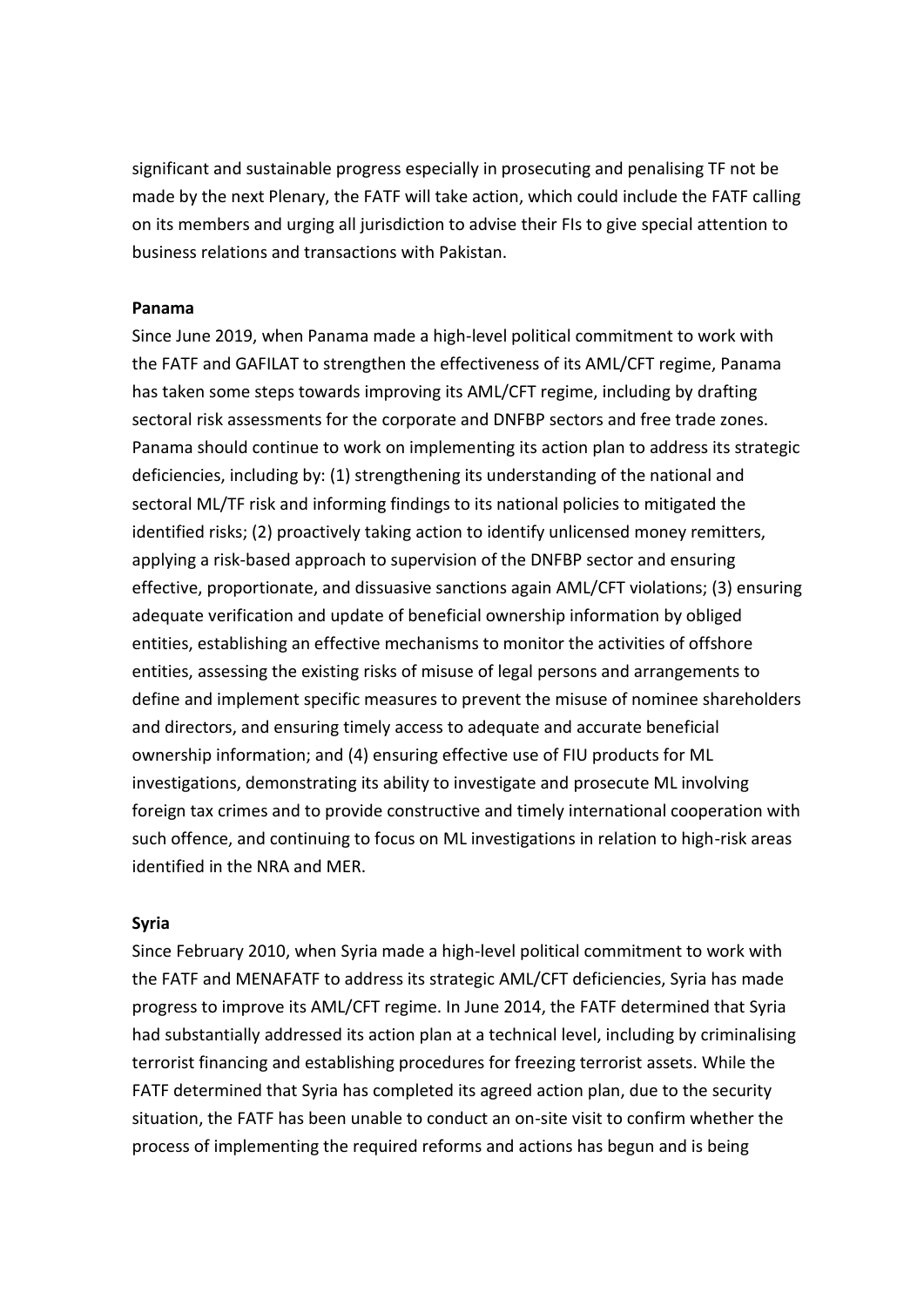significant and sustainable progress especially in prosecuting and penalising TF not be made by the next Plenary, the FATF will take action, which could include the FATF calling on its members and urging all jurisdiction to advise their FIs to give special attention to business relations and transactions with Pakistan.

#### **Panama**

Since June 2019, when Panama made a high-level political commitment to work with the FATF and GAFILAT to strengthen the effectiveness of its AML/CFT regime, Panama has taken some steps towards improving its AML/CFT regime, including by drafting sectoral risk assessments for the corporate and DNFBP sectors and free trade zones. Panama should continue to work on implementing its action plan to address its strategic deficiencies, including by: (1) strengthening its understanding of the national and sectoral ML/TF risk and informing findings to its national policies to mitigated the identified risks; (2) proactively taking action to identify unlicensed money remitters, applying a risk-based approach to supervision of the DNFBP sector and ensuring effective, proportionate, and dissuasive sanctions again AML/CFT violations; (3) ensuring adequate verification and update of beneficial ownership information by obliged entities, establishing an effective mechanisms to monitor the activities of offshore entities, assessing the existing risks of misuse of legal persons and arrangements to define and implement specific measures to prevent the misuse of nominee shareholders and directors, and ensuring timely access to adequate and accurate beneficial ownership information; and (4) ensuring effective use of FIU products for ML investigations, demonstrating its ability to investigate and prosecute ML involving foreign tax crimes and to provide constructive and timely international cooperation with such offence, and continuing to focus on ML investigations in relation to high-risk areas identified in the NRA and MER.

#### **Syria**

Since February 2010, when Syria made a high-level political commitment to work with the FATF and MENAFATF to address its strategic AML/CFT deficiencies, Syria has made progress to improve its AML/CFT regime. In June 2014, the FATF determined that Syria had substantially addressed its action plan at a technical level, including by criminalising terrorist financing and establishing procedures for freezing terrorist assets. While the FATF determined that Syria has completed its agreed action plan, due to the security situation, the FATF has been unable to conduct an on-site visit to confirm whether the process of implementing the required reforms and actions has begun and is being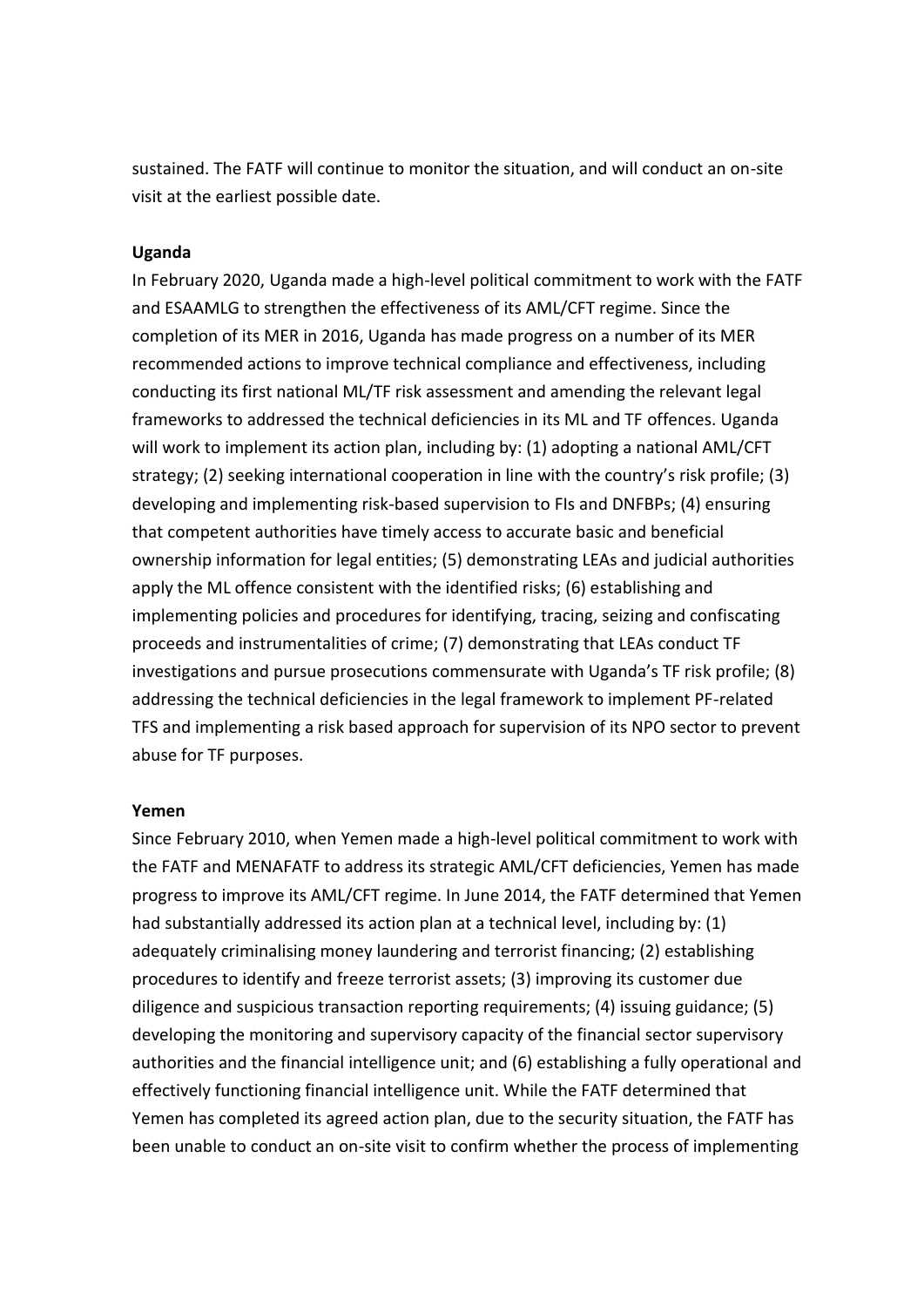sustained. The FATF will continue to monitor the situation, and will conduct an on-site visit at the earliest possible date.

#### **Uganda**

In February 2020, Uganda made a high-level political commitment to work with the FATF and ESAAMLG to strengthen the effectiveness of its AML/CFT regime. Since the completion of its MER in 2016, Uganda has made progress on a number of its MER recommended actions to improve technical compliance and effectiveness, including conducting its first national ML/TF risk assessment and amending the relevant legal frameworks to addressed the technical deficiencies in its ML and TF offences. Uganda will work to implement its action plan, including by: (1) adopting a national AML/CFT strategy; (2) seeking international cooperation in line with the country's risk profile; (3) developing and implementing risk-based supervision to FIs and DNFBPs; (4) ensuring that competent authorities have timely access to accurate basic and beneficial ownership information for legal entities; (5) demonstrating LEAs and judicial authorities apply the ML offence consistent with the identified risks; (6) establishing and implementing policies and procedures for identifying, tracing, seizing and confiscating proceeds and instrumentalities of crime; (7) demonstrating that LEAs conduct TF investigations and pursue prosecutions commensurate with Uganda's TF risk profile; (8) addressing the technical deficiencies in the legal framework to implement PF-related TFS and implementing a risk based approach for supervision of its NPO sector to prevent abuse for TF purposes.

#### **Yemen**

Since February 2010, when Yemen made a high-level political commitment to work with the FATF and MENAFATF to address its strategic AML/CFT deficiencies, Yemen has made progress to improve its AML/CFT regime. In June 2014, the FATF determined that Yemen had substantially addressed its action plan at a technical level, including by: (1) adequately criminalising money laundering and terrorist financing; (2) establishing procedures to identify and freeze terrorist assets; (3) improving its customer due diligence and suspicious transaction reporting requirements; (4) issuing guidance; (5) developing the monitoring and supervisory capacity of the financial sector supervisory authorities and the financial intelligence unit; and (6) establishing a fully operational and effectively functioning financial intelligence unit. While the FATF determined that Yemen has completed its agreed action plan, due to the security situation, the FATF has been unable to conduct an on-site visit to confirm whether the process of implementing